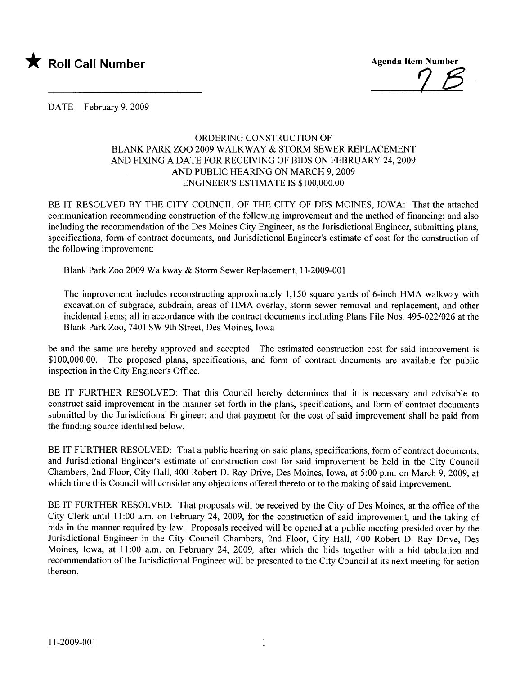

DATE February 9, 2009

## ORDERIG CONSTRUCTION OF BLANK PARK ZOO 2009 WALKWAY & STORM SEWER REPLACEMENT AND FIXING A DATE FOR RECEIVING OF BIDS ON FEBRUARY 24, 2009 AND PUBLIC HEARING ON MARCH 9, 2009 ENGINEER'S ESTIMATE IS \$100,000.00

BE IT RESOLVED BY THE CITY COUNCIL OF THE CITY OF DES MOINES, IOWA: That the attached communication recommending construction of the following improvement and the method of financing; and also including the recommendation of the Des Moines City Engineer, as the Jurisdictional Engineer, submitting plans, specifications, form of contract documents, and Jurisdictional Engineer's estimate of cost for the construction of the following improvement:

Blank Park Zoo 2009 Walkway & Storm Sewer Replacement, 11-2009-001

The improvement includes reconstructing approximately 1,150 square yards of 6-inch HMA walkway with excavation of subgrade, subdrain, areas of HMA overlay, storm sewer removal and replacement, and other incidental items; all in accordance with the contract documents including Plans File Nos. 495-022/026 at the Blank Park Zoo, 7401 SW 9th Street, Des Moines, Iowa

be and the same are hereby approved and accepted. The estimated construction cost for said improvement is \$100,000.00. The proposed plans, specifications, and form of contract documents are available for public inspection in the City Engineer's Office.

BE IT FURTHER RESOLVED: That this Council hereby determines that it is necessary and advisable to construct said improvement in the manner set forth in the plans, specifications, and form of contract documents submitted by the Jurisdictional Engineer; and that payment for the cost of said improvement shall be paid from the funding source identified below.

BE IT FURTHER RESOLVED: That a public hearing on said plans, specifications, form of contract documents, and Jurisdictional Engineer's estimate of construction cost for said improvement be held in the City Council Chambers, 2nd Floor, City Hall, 400 Robert D. Ray Drive, Des Moines, Iowa, at 5:00 p.m. on March 9,2009, at which time this Council will consider any objections offered thereto or to the making of said improvement.

BE IT FURTHER RESOLVED: That proposals will be received by the City of Des Moines, at the office of the City Clerk until 11:00 a.m. on February 24, 2009, for the construction of said improvement, and the taking of bids in the manner required by law. Proposals received will be opened at a public meeting presided over by the Jurisdictional Engineer in the City Council Chambers, 2nd Floor, City Hall, 400 Robert D. Ray Drive, Des Moines, Iowa, at 11:00 a.m. on February 24, 2009, after which the bids together with a bid tabulation and recommendation of the Jurisdictional Engineer will be presented to the City Council at its next meeting for action thereon.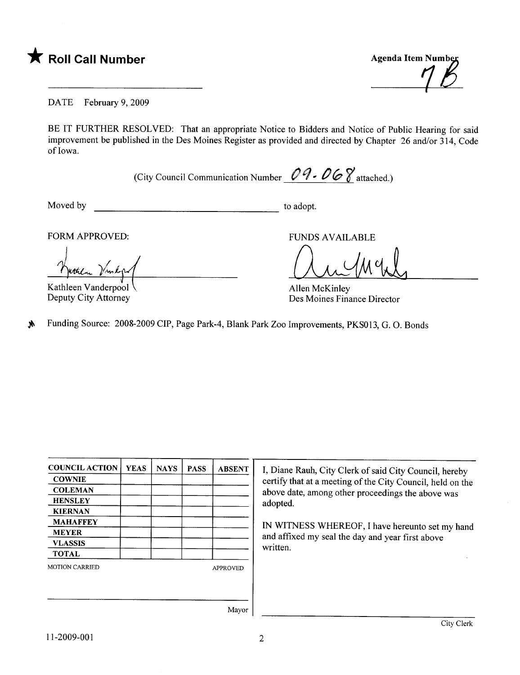



DATE February 9, 2009

BE IT FURTHER RESOLVED: That an appropriate Notice to Bidders and Notice of Public Hearing for said improvement be published in the Des Moines Register as provided and directed by Chapter 26 and/or 314, Code of Iowa.

(City Council Communication Number  $\mathcal{O} \mathcal{A} \cdot \mathcal{O} \mathcal{O} \mathcal{C}$  attached.)

Moved by to adopt.

FORM APPROVED:

 $\begin{array}{c} \n\sqrt{1 + \frac{1}{2}} \\
\sqrt{1 + \frac{1}{2}} \\
\sqrt{1 + \frac{1}{2}} \\
\sqrt{1 + \frac{1}{2}} \\
\sqrt{1 + \frac{1}{2}} \\
\sqrt{1 + \frac{1}{2}} \\
\sqrt{1 + \frac{1}{2}} \\
\sqrt{1 + \frac{1}{2}} \\
\sqrt{1 + \frac{1}{2}} \\
\sqrt{1 + \frac{1}{2}} \\
\sqrt{1 + \frac{1}{2}} \\
\sqrt{1 + \frac{1}{2}} \\
\sqrt{1 + \frac{1}{2}} \\
\sqrt{1 + \frac{1}{2}} \\
\sqrt{1 + \frac{1}{2}} \\
\sqrt{1 + \frac{1}{2}} \\
\sqrt{$ Kuthen Vand

Kathleen Vanderpool . Deputy City Attorney

FUNDS AVAILABLE<br>
Allen McKinley

Des Moines Finance Director

 $\text{M}$  Funding Source: 2008-2009 CIP, Page Park-4, Blank Park Zoo Improvements, PKS013, G. O. Bonds

| <b>COUNCIL ACTION</b> | <b>YEAS</b> | <b>NAYS</b> | <b>PASS</b>     | <b>ABSENT</b> |  |
|-----------------------|-------------|-------------|-----------------|---------------|--|
| <b>COWNIE</b>         |             |             |                 |               |  |
| <b>COLEMAN</b>        |             |             |                 |               |  |
| <b>HENSLEY</b>        |             |             |                 |               |  |
| <b>KIERNAN</b>        |             |             |                 |               |  |
| <b>MAHAFFEY</b>       |             |             |                 |               |  |
| <b>MEYER</b>          |             |             |                 |               |  |
| <b>VLASSIS</b>        |             |             |                 |               |  |
| <b>TOTAL</b>          |             |             |                 |               |  |
| <b>MOTION CARRIED</b> |             |             | <b>APPROVED</b> |               |  |
|                       |             |             |                 |               |  |
|                       |             |             |                 |               |  |
|                       |             |             |                 | $\mathbf{X}$  |  |

I, Diane Rauh, City Clerk of said City Council, hereby certify that at a meeting of the City Council, held on the above date, among other proceedings the above was adopted.

IN WITNESS WHEREOF, I have hereunto set my hand and affixed my seal the day and year first above written.

Mayor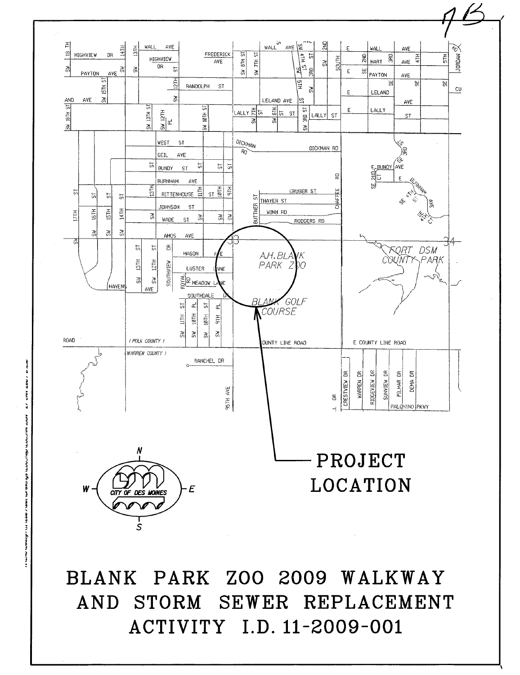

BLANK PARK ZOO 2009 WALKWAY AND STORM SEWER REPLACEMENT ACTIVITY I.D. 11-2009-001

i anno ţ Ń j warugs woo. **VEPER** MAN ITI I ITICAN